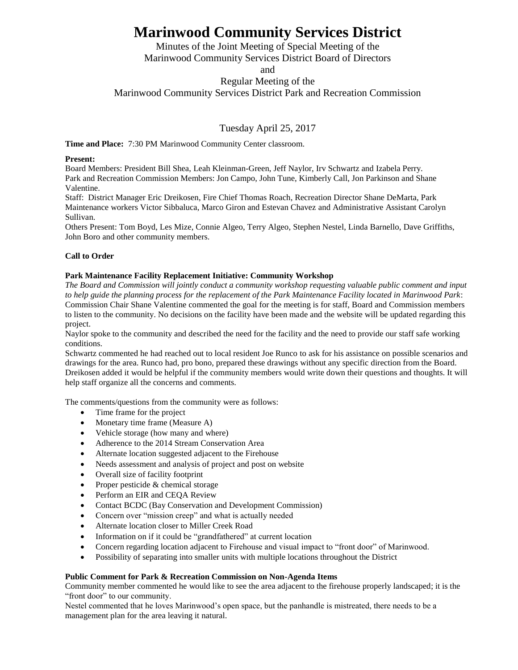# **Marinwood Community Services District**

Minutes of the Joint Meeting of Special Meeting of the Marinwood Community Services District Board of Directors

and

Regular Meeting of the

Marinwood Community Services District Park and Recreation Commission

Tuesday April 25, 2017

**Time and Place:** 7:30 PM Marinwood Community Center classroom.

## **Present:**

Board Members: President Bill Shea, Leah Kleinman-Green, Jeff Naylor, Irv Schwartz and Izabela Perry. Park and Recreation Commission Members: Jon Campo, John Tune, Kimberly Call, Jon Parkinson and Shane Valentine.

Staff: District Manager Eric Dreikosen, Fire Chief Thomas Roach, Recreation Director Shane DeMarta, Park Maintenance workers Victor Sibbaluca, Marco Giron and Estevan Chavez and Administrative Assistant Carolyn Sullivan.

Others Present: Tom Boyd, Les Mize, Connie Algeo, Terry Algeo, Stephen Nestel, Linda Barnello, Dave Griffiths, John Boro and other community members.

## **Call to Order**

### **Park Maintenance Facility Replacement Initiative: Community Workshop**

*The Board and Commission will jointly conduct a community workshop requesting valuable public comment and input to help guide the planning process for the replacement of the Park Maintenance Facility located in Marinwood Park*: Commission Chair Shane Valentine commented the goal for the meeting is for staff, Board and Commission members to listen to the community. No decisions on the facility have been made and the website will be updated regarding this project.

Naylor spoke to the community and described the need for the facility and the need to provide our staff safe working conditions.

Schwartz commented he had reached out to local resident Joe Runco to ask for his assistance on possible scenarios and drawings for the area. Runco had, pro bono, prepared these drawings without any specific direction from the Board. Dreikosen added it would be helpful if the community members would write down their questions and thoughts. It will help staff organize all the concerns and comments.

The comments/questions from the community were as follows:

- Time frame for the project
- Monetary time frame (Measure A)
- Vehicle storage (how many and where)
- Adherence to the 2014 Stream Conservation Area
- Alternate location suggested adjacent to the Firehouse
- Needs assessment and analysis of project and post on website
- Overall size of facility footprint
- Proper pesticide & chemical storage
- Perform an EIR and CEQA Review
- Contact BCDC (Bay Conservation and Development Commission)
- Concern over "mission creep" and what is actually needed
- Alternate location closer to Miller Creek Road
- Information on if it could be "grandfathered" at current location
- Concern regarding location adjacent to Firehouse and visual impact to "front door" of Marinwood.
- Possibility of separating into smaller units with multiple locations throughout the District

#### **Public Comment for Park & Recreation Commission on Non-Agenda Items**

Community member commented he would like to see the area adjacent to the firehouse properly landscaped; it is the "front door" to our community.

Nestel commented that he loves Marinwood's open space, but the panhandle is mistreated, there needs to be a management plan for the area leaving it natural.